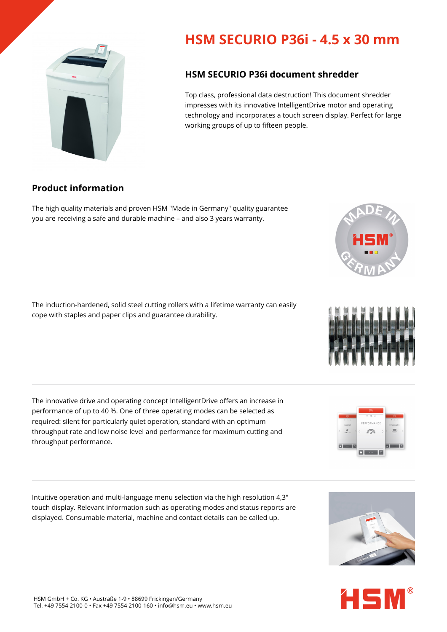## **HSM SECURIO P36i - 4.5 x 30 mm**

## **HSM SECURIO P36i document shredder**

Top class, professional data destruction! This document shredder impresses with its innovative IntelligentDrive motor and operating technology and incorporates a touch screen display. Perfect for large working groups of up to fifteen people.

## **Product information**

The high quality materials and proven HSM "Made in Germany" quality guarantee you are receiving a safe and durable machine – and also 3 years warranty.

The induction-hardened, solid steel cutting rollers with a lifetime warranty can easily cope with staples and paper clips and guarantee durability.

The innovative drive and operating concept IntelligentDrive offers an increase in performance of up to 40 %. One of three operating modes can be selected as required: silent for particularly quiet operation, standard with an optimum throughput rate and low noise level and performance for maximum cutting and throughput performance.

Intuitive operation and multi-language menu selection via the high resolution 4,3" touch display. Relevant information such as operating modes and status reports are displayed. Consumable material, machine and contact details can be called up.